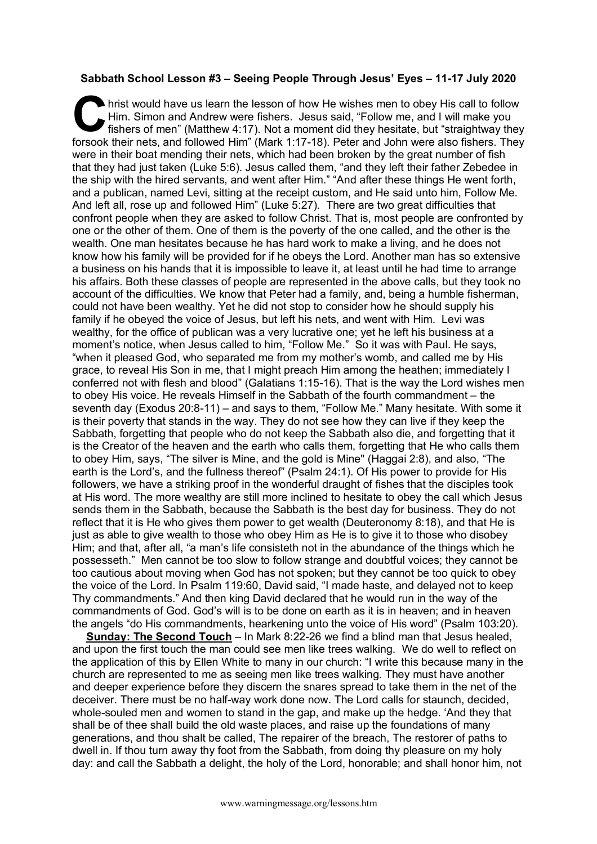## **Sabbath School Lesson #3 – Seeing People Through Jesus' Eyes – 11-17 July 2020**

hrist would have us learn the lesson of how He wishes men to obey His call to follow Him. Simon and Andrew were fishers. Jesus said, "Follow me, and I will make you fishers of men" (Matthew 4:17). Not a moment did they hesitate, but "straightway they **For the forsook their nets, and followed Him" (Mark 1:17-18). Peter and John were also fishers. They forsook their nets, and followed Him" (Mark 1:17-18). Peter and John were also fishers. They** were in their boat mending their nets, which had been broken by the great number of fish that they had just taken (Luke 5:6). Jesus called them, "and they left their father Zebedee in the ship with the hired servants, and went after Him." "And after these things He went forth, and a publican, named Levi, sitting at the receipt custom, and He said unto him, Follow Me. And left all, rose up and followed Him" (Luke 5:27). There are two great difficulties that confront people when they are asked to follow Christ. That is, most people are confronted by one or the other of them. One of them is the poverty of the one called, and the other is the wealth. One man hesitates because he has hard work to make a living, and he does not know how his family will be provided for if he obeys the Lord. Another man has so extensive a business on his hands that it is impossible to leave it, at least until he had time to arrange his affairs. Both these classes of people are represented in the above calls, but they took no account of the difficulties. We know that Peter had a family, and, being a humble fisherman, could not have been wealthy. Yet he did not stop to consider how he should supply his family if he obeyed the voice of Jesus, but left his nets, and went with Him. Levi was wealthy, for the office of publican was a very lucrative one; yet he left his business at a moment's notice, when Jesus called to him, "Follow Me." So it was with Paul. He says, "when it pleased God, who separated me from my mother's womb, and called me by His grace, to reveal His Son in me, that I might preach Him among the heathen; immediately I conferred not with flesh and blood" (Galatians 1:15-16). That is the way the Lord wishes men to obey His voice. He reveals Himself in the Sabbath of the fourth commandment – the seventh day (Exodus 20:8-11) – and says to them, "Follow Me." Many hesitate. With some it is their poverty that stands in the way. They do not see how they can live if they keep the Sabbath, forgetting that people who do not keep the Sabbath also die, and forgetting that it is the Creator of the heaven and the earth who calls them, forgetting that He who calls them to obey Him, says, "The silver is Mine, and the gold is Mine" (Haggai 2:8), and also, "The earth is the Lord's, and the fullness thereof" (Psalm 24:1). Of His power to provide for His followers, we have a striking proof in the wonderful draught of fishes that the disciples took at His word. The more wealthy are still more inclined to hesitate to obey the call which Jesus sends them in the Sabbath, because the Sabbath is the best day for business. They do not reflect that it is He who gives them power to get wealth (Deuteronomy 8:18), and that He is just as able to give wealth to those who obey Him as He is to give it to those who disobey Him; and that, after all, "a man's life consisteth not in the abundance of the things which he possesseth." Men cannot be too slow to follow strange and doubtful voices; they cannot be too cautious about moving when God has not spoken; but they cannot be too quick to obey the voice of the Lord. In Psalm 119:60, David said, "I made haste, and delayed not to keep Thy commandments." And then king David declared that he would run in the way of the commandments of God. God's will is to be done on earth as it is in heaven; and in heaven the angels "do His commandments, hearkening unto the voice of His word" (Psalm 103:20).

**Sunday: The Second Touch** – In Mark 8:22-26 we find a blind man that Jesus healed. and upon the first touch the man could see men like trees walking. We do well to reflect on the application of this by Ellen White to many in our church: "I write this because many in the church are represented to me as seeing men like trees walking. They must have another and deeper experience before they discern the snares spread to take them in the net of the deceiver. There must be no half-way work done now. The Lord calls for staunch, decided, whole-souled men and women to stand in the gap, and make up the hedge. 'And they that shall be of thee shall build the old waste places, and raise up the foundations of many generations, and thou shalt be called, The repairer of the breach, The restorer of paths to dwell in. If thou turn away thy foot from the Sabbath, from doing thy pleasure on my holy day: and call the Sabbath a delight, the holy of the Lord, honorable; and shall honor him, not